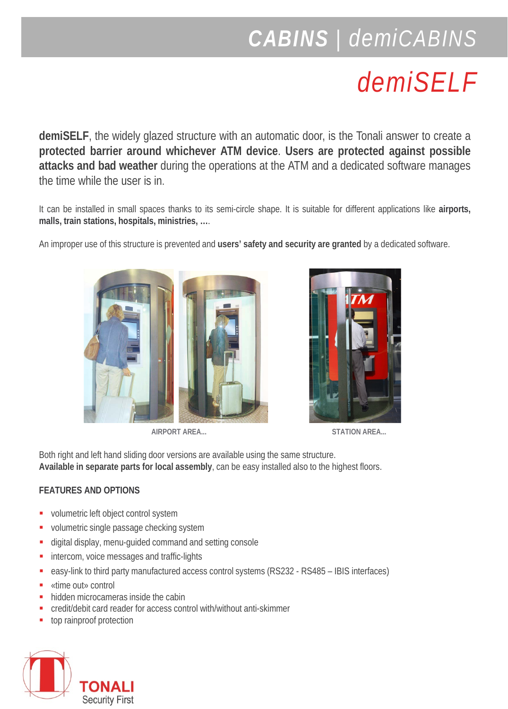## *CABINS | demiCABINS*

## *demiSELF*

**demiSELF**, the widely glazed structure with an automatic door, is the Tonali answer to create a **protected barrier around whichever ATM device**. **Users are protected against possible attacks and bad weather** during the operations at the ATM and a dedicated software manages the time while the user is in.

It can be installed in small spaces thanks to its semi-circle shape. It is suitable for different applications like **airports, malls, train stations, hospitals, ministries, …**.

An improper use of this structure is prevented and **users' safety and security are granted** by a dedicated software.



**AIRPORT AREA... STATION AREA...**



Both right and left hand sliding door versions are available using the same structure. **Available in separate parts for local assembly**, can be easy installed also to the highest floors.

## **FEATURES AND OPTIONS**

- volumetric left object control system
- volumetric single passage checking system
- digital display, menu-guided command and setting console
- **intercom, voice messages and traffic-lights**
- easy-link to third party manufactured access control systems (RS232 RS485 IBIS interfaces)
- «time out» control
- hidden microcameras inside the cabin
- credit/debit card reader for access control with/without anti-skimmer
- top rainproof protection